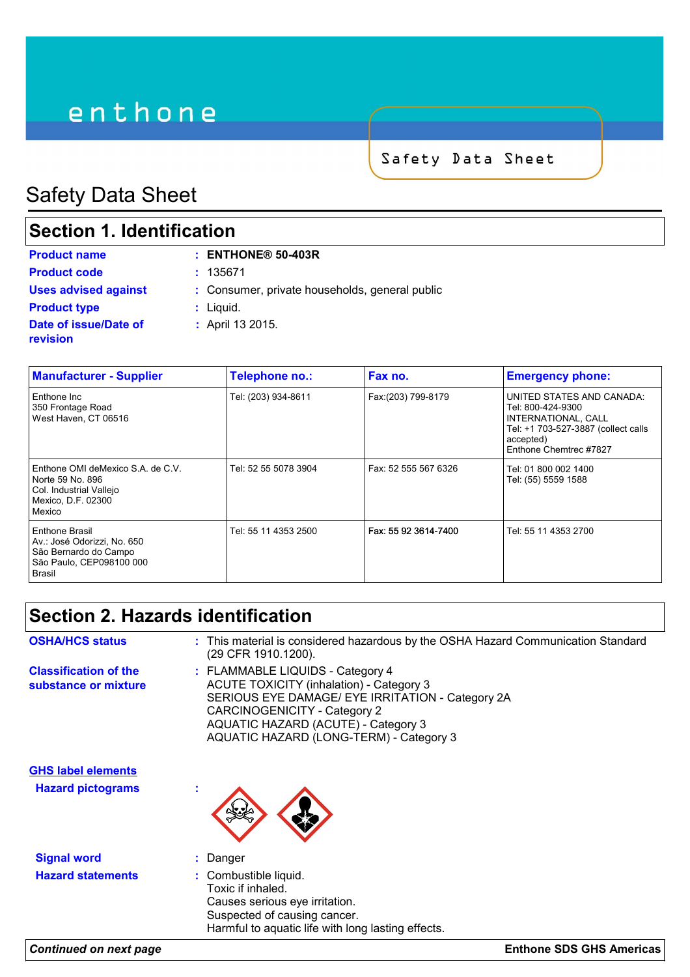# enthone

Safety Data Sheet

# Safety Data Sheet

### **Section 1. Identification**

| <b>Product name</b>                      | $:$ ENTHONE® 50-403R                           |
|------------------------------------------|------------------------------------------------|
| <b>Product code</b>                      | : 135671                                       |
| <b>Uses advised against</b>              | : Consumer, private households, general public |
| <b>Product type</b>                      | $:$ Liquid.                                    |
| Date of issue/Date of<br><b>revision</b> | : April 13 2015.                               |

| <b>Manufacturer - Supplier</b>                                                                                   | Telephone no.:       | Fax no.              | <b>Emergency phone:</b>                                                                                                                             |
|------------------------------------------------------------------------------------------------------------------|----------------------|----------------------|-----------------------------------------------------------------------------------------------------------------------------------------------------|
| Enthone Inc<br>350 Frontage Road<br>West Haven, CT 06516                                                         | Tel: (203) 934-8611  | Fax:(203) 799-8179   | UNITED STATES AND CANADA:<br>Tel: 800-424-9300<br>INTERNATIONAL, CALL<br>Tel: +1 703-527-3887 (collect calls<br>accepted)<br>Enthone Chemtrec #7827 |
| Enthone OMI deMexico S.A. de C.V.<br>Norte 59 No. 896<br>Col. Industrial Vallejo<br>Mexico, D.F. 02300<br>Mexico | Tel: 52 55 5078 3904 | Fax: 52 555 567 6326 | Tel: 01 800 002 1400<br>Tel: (55) 5559 1588                                                                                                         |
| Enthone Brasil<br>Av.: José Odorizzi, No. 650<br>São Bernardo do Campo<br>São Paulo, CEP098100 000<br>Brasil     | Tel: 55 11 4353 2500 | Fax: 55 92 3614-7400 | Tel: 55 11 4353 2700                                                                                                                                |

### **Section 2. Hazards identification**

| <b>OSHA/HCS status</b>                                | : This material is considered hazardous by the OSHA Hazard Communication Standard<br>(29 CFR 1910.1200).                                                                                                                                                         |
|-------------------------------------------------------|------------------------------------------------------------------------------------------------------------------------------------------------------------------------------------------------------------------------------------------------------------------|
| <b>Classification of the</b><br>substance or mixture  | : FLAMMABLE LIQUIDS - Category 4<br><b>ACUTE TOXICITY (inhalation) - Category 3</b><br>SERIOUS EYE DAMAGE/ EYE IRRITATION - Category 2A<br><b>CARCINOGENICITY - Category 2</b><br>AQUATIC HAZARD (ACUTE) - Category 3<br>AQUATIC HAZARD (LONG-TERM) - Category 3 |
| <b>GHS label elements</b><br><b>Hazard pictograms</b> | $\mathbf{r}$                                                                                                                                                                                                                                                     |

**Signal word :** Danger

- 
- 
- **Hazard statements :** Combustible liquid. Toxic if inhaled. Causes serious eye irritation. Suspected of causing cancer. Harmful to aquatic life with long lasting effects.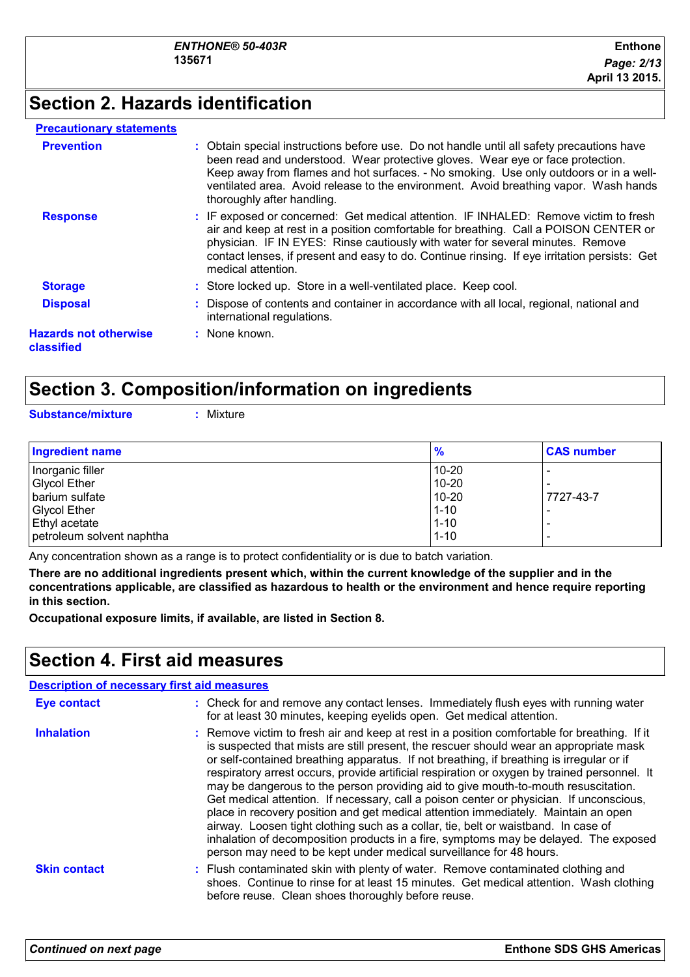### **Section 2. Hazards identification**

#### **Precautionary statements**

| <b>Prevention</b>                          | : Obtain special instructions before use. Do not handle until all safety precautions have<br>been read and understood. Wear protective gloves. Wear eye or face protection.<br>Keep away from flames and hot surfaces. - No smoking. Use only outdoors or in a well-<br>ventilated area. Avoid release to the environment. Avoid breathing vapor. Wash hands<br>thoroughly after handling. |
|--------------------------------------------|--------------------------------------------------------------------------------------------------------------------------------------------------------------------------------------------------------------------------------------------------------------------------------------------------------------------------------------------------------------------------------------------|
| <b>Response</b>                            | : IF exposed or concerned: Get medical attention. IF INHALED: Remove victim to fresh<br>air and keep at rest in a position comfortable for breathing. Call a POISON CENTER or<br>physician. IF IN EYES: Rinse cautiously with water for several minutes. Remove<br>contact lenses, if present and easy to do. Continue rinsing. If eye irritation persists: Get<br>medical attention.      |
| <b>Storage</b>                             | : Store locked up. Store in a well-ventilated place. Keep cool.                                                                                                                                                                                                                                                                                                                            |
| <b>Disposal</b>                            | : Dispose of contents and container in accordance with all local, regional, national and<br>international regulations.                                                                                                                                                                                                                                                                     |
| <b>Hazards not otherwise</b><br>classified | : None known.                                                                                                                                                                                                                                                                                                                                                                              |

### **Section 3. Composition/information on ingredients**

**Substance/mixture :** Mixture

| <b>Ingredient name</b>    | $\frac{9}{6}$ | <b>CAS number</b> |
|---------------------------|---------------|-------------------|
| Inorganic filler          | $10 - 20$     |                   |
| <b>Glycol Ether</b>       | $10 - 20$     |                   |
| barium sulfate            | $10-20$       | 7727-43-7         |
| <b>Glycol Ether</b>       | $1 - 10$      |                   |
| <b>Ethyl acetate</b>      | $1 - 10$      |                   |
| petroleum solvent naphtha | $1 - 10$      |                   |

Any concentration shown as a range is to protect confidentiality or is due to batch variation.

**There are no additional ingredients present which, within the current knowledge of the supplier and in the concentrations applicable, are classified as hazardous to health or the environment and hence require reporting in this section.**

**Occupational exposure limits, if available, are listed in Section 8.**

### **Section 4. First aid measures**

| <b>Description of necessary first aid measures</b> |                                                                                                                                                                                                                                                                                                                                                                                                                                                                                                                                                                                                                                                                                                                                                                                                                                                                                                                |
|----------------------------------------------------|----------------------------------------------------------------------------------------------------------------------------------------------------------------------------------------------------------------------------------------------------------------------------------------------------------------------------------------------------------------------------------------------------------------------------------------------------------------------------------------------------------------------------------------------------------------------------------------------------------------------------------------------------------------------------------------------------------------------------------------------------------------------------------------------------------------------------------------------------------------------------------------------------------------|
| <b>Eye contact</b>                                 | : Check for and remove any contact lenses. Immediately flush eyes with running water<br>for at least 30 minutes, keeping eyelids open. Get medical attention.                                                                                                                                                                                                                                                                                                                                                                                                                                                                                                                                                                                                                                                                                                                                                  |
| <b>Inhalation</b>                                  | : Remove victim to fresh air and keep at rest in a position comfortable for breathing. If it<br>is suspected that mists are still present, the rescuer should wear an appropriate mask<br>or self-contained breathing apparatus. If not breathing, if breathing is irregular or if<br>respiratory arrest occurs, provide artificial respiration or oxygen by trained personnel. It<br>may be dangerous to the person providing aid to give mouth-to-mouth resuscitation.<br>Get medical attention. If necessary, call a poison center or physician. If unconscious,<br>place in recovery position and get medical attention immediately. Maintain an open<br>airway. Loosen tight clothing such as a collar, tie, belt or waistband. In case of<br>inhalation of decomposition products in a fire, symptoms may be delayed. The exposed<br>person may need to be kept under medical surveillance for 48 hours. |
| <b>Skin contact</b>                                | : Flush contaminated skin with plenty of water. Remove contaminated clothing and<br>shoes. Continue to rinse for at least 15 minutes. Get medical attention. Wash clothing<br>before reuse. Clean shoes thoroughly before reuse.                                                                                                                                                                                                                                                                                                                                                                                                                                                                                                                                                                                                                                                                               |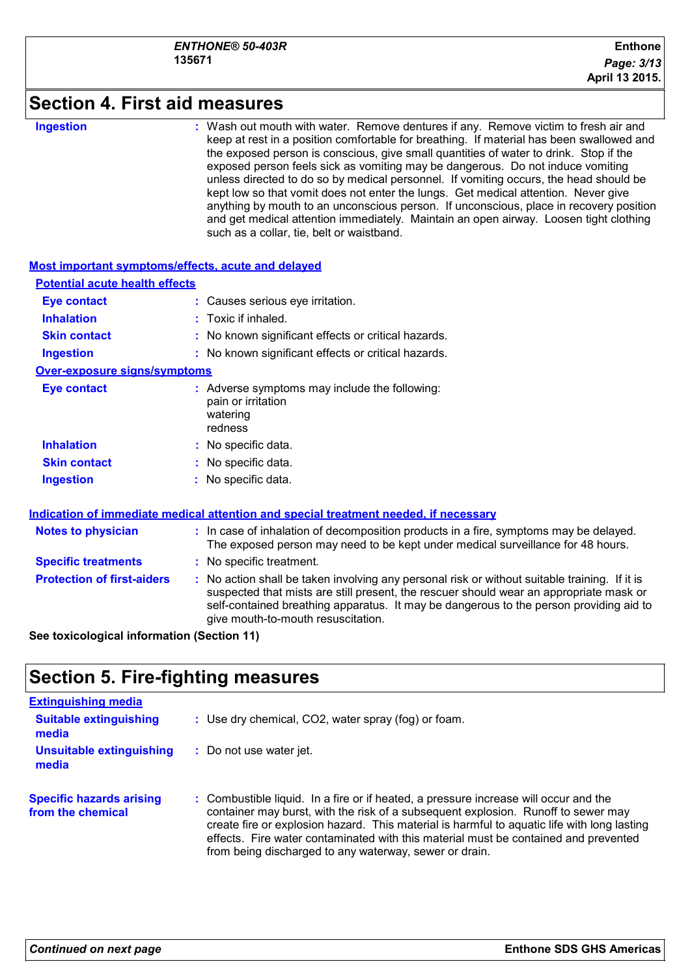### **Section 4. First aid measures**

#### **Ingestion :**

Wash out mouth with water. Remove dentures if any. Remove victim to fresh air and keep at rest in a position comfortable for breathing. If material has been swallowed and the exposed person is conscious, give small quantities of water to drink. Stop if the exposed person feels sick as vomiting may be dangerous. Do not induce vomiting unless directed to do so by medical personnel. If vomiting occurs, the head should be kept low so that vomit does not enter the lungs. Get medical attention. Never give anything by mouth to an unconscious person. If unconscious, place in recovery position and get medical attention immediately. Maintain an open airway. Loosen tight clothing such as a collar, tie, belt or waistband.

| Most important symptoms/effects, acute and delayed |                                                                                                                                                                                                                                                                                                                         |
|----------------------------------------------------|-------------------------------------------------------------------------------------------------------------------------------------------------------------------------------------------------------------------------------------------------------------------------------------------------------------------------|
| <b>Potential acute health effects</b>              |                                                                                                                                                                                                                                                                                                                         |
| <b>Eye contact</b>                                 | : Causes serious eye irritation.                                                                                                                                                                                                                                                                                        |
| <b>Inhalation</b>                                  | $:$ Toxic if inhaled.                                                                                                                                                                                                                                                                                                   |
| <b>Skin contact</b>                                | : No known significant effects or critical hazards.                                                                                                                                                                                                                                                                     |
| <b>Ingestion</b>                                   | : No known significant effects or critical hazards.                                                                                                                                                                                                                                                                     |
| <b>Over-exposure signs/symptoms</b>                |                                                                                                                                                                                                                                                                                                                         |
| <b>Eye contact</b>                                 | : Adverse symptoms may include the following:<br>pain or irritation<br>watering<br>redness                                                                                                                                                                                                                              |
| <b>Inhalation</b>                                  | : No specific data.                                                                                                                                                                                                                                                                                                     |
| <b>Skin contact</b>                                | : No specific data.                                                                                                                                                                                                                                                                                                     |
| <b>Ingestion</b>                                   | : No specific data.                                                                                                                                                                                                                                                                                                     |
|                                                    | Indication of immediate medical attention and special treatment needed, if necessary                                                                                                                                                                                                                                    |
| <b>Notes to physician</b>                          | : In case of inhalation of decomposition products in a fire, symptoms may be delayed.<br>The exposed person may need to be kept under medical surveillance for 48 hours.                                                                                                                                                |
| <b>Specific treatments</b>                         | : No specific treatment.                                                                                                                                                                                                                                                                                                |
| <b>Protection of first-aiders</b>                  | : No action shall be taken involving any personal risk or without suitable training. If it is<br>suspected that mists are still present, the rescuer should wear an appropriate mask or<br>self-contained breathing apparatus. It may be dangerous to the person providing aid to<br>give mouth-to-mouth resuscitation. |
| See toxicological information (Section 11)         |                                                                                                                                                                                                                                                                                                                         |

**See toxicological information (Section 11)**

### **Section 5. Fire-fighting measures**

| <b>Extinguishing media</b>                           |                                                                                                                                                                                                                                                                                                                                                                                                                           |
|------------------------------------------------------|---------------------------------------------------------------------------------------------------------------------------------------------------------------------------------------------------------------------------------------------------------------------------------------------------------------------------------------------------------------------------------------------------------------------------|
| <b>Suitable extinguishing</b><br>media               | : Use dry chemical, CO2, water spray (fog) or foam.                                                                                                                                                                                                                                                                                                                                                                       |
| <b>Unsuitable extinguishing</b><br>media             | : Do not use water jet.                                                                                                                                                                                                                                                                                                                                                                                                   |
| <b>Specific hazards arising</b><br>from the chemical | : Combustible liquid. In a fire or if heated, a pressure increase will occur and the<br>container may burst, with the risk of a subsequent explosion. Runoff to sewer may<br>create fire or explosion hazard. This material is harmful to aquatic life with long lasting<br>effects. Fire water contaminated with this material must be contained and prevented<br>from being discharged to any waterway, sewer or drain. |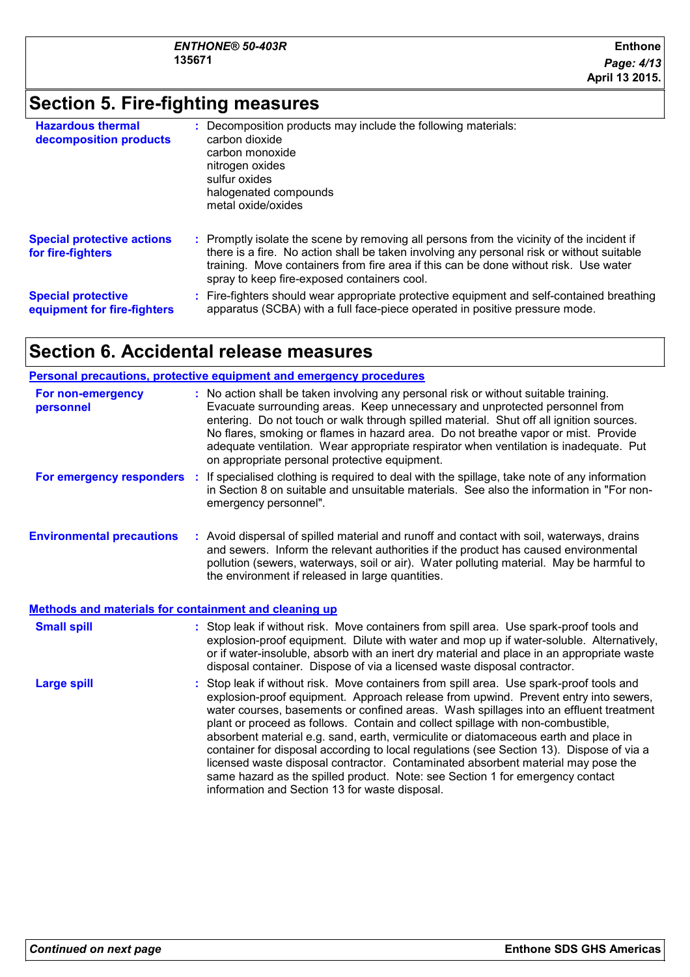### **Section 5. Fire-fighting measures**

| <b>Hazardous thermal</b><br>decomposition products       | Decomposition products may include the following materials:<br>carbon dioxide<br>carbon monoxide<br>nitrogen oxides<br>sulfur oxides<br>halogenated compounds<br>metal oxide/oxides                                                                                                                                           |
|----------------------------------------------------------|-------------------------------------------------------------------------------------------------------------------------------------------------------------------------------------------------------------------------------------------------------------------------------------------------------------------------------|
| <b>Special protective actions</b><br>for fire-fighters   | : Promptly isolate the scene by removing all persons from the vicinity of the incident if<br>there is a fire. No action shall be taken involving any personal risk or without suitable<br>training. Move containers from fire area if this can be done without risk. Use water<br>spray to keep fire-exposed containers cool. |
| <b>Special protective</b><br>equipment for fire-fighters | : Fire-fighters should wear appropriate protective equipment and self-contained breathing<br>apparatus (SCBA) with a full face-piece operated in positive pressure mode.                                                                                                                                                      |

### **Section 6. Accidental release measures**

#### **Personal precautions, protective equipment and emergency procedures**

| For non-emergency<br>personnel                               | : No action shall be taken involving any personal risk or without suitable training.<br>Evacuate surrounding areas. Keep unnecessary and unprotected personnel from<br>entering. Do not touch or walk through spilled material. Shut off all ignition sources.<br>No flares, smoking or flames in hazard area. Do not breathe vapor or mist. Provide<br>adequate ventilation. Wear appropriate respirator when ventilation is inadequate. Put<br>on appropriate personal protective equipment. |
|--------------------------------------------------------------|------------------------------------------------------------------------------------------------------------------------------------------------------------------------------------------------------------------------------------------------------------------------------------------------------------------------------------------------------------------------------------------------------------------------------------------------------------------------------------------------|
| For emergency responders                                     | : If specialised clothing is required to deal with the spillage, take note of any information<br>in Section 8 on suitable and unsuitable materials. See also the information in "For non-<br>emergency personnel".                                                                                                                                                                                                                                                                             |
| <b>Environmental precautions</b>                             | : Avoid dispersal of spilled material and runoff and contact with soil, waterways, drains<br>and sewers. Inform the relevant authorities if the product has caused environmental<br>pollution (sewers, waterways, soil or air). Water polluting material. May be harmful to<br>the environment if released in large quantities.                                                                                                                                                                |
| <b>Methods and materials for containment and cleaning up</b> |                                                                                                                                                                                                                                                                                                                                                                                                                                                                                                |
| <b>Small spill</b>                                           | : Stop leak if without risk. Move containers from spill area. Use spark-proof tools and<br>explosion-proof equipment. Dilute with water and mop up if water-soluble. Alternatively,<br>or if water-insoluble, absorb with an inert dry material and place in an appropriate waste<br>disposal container. Dispose of via a licensed waste disposal contractor.                                                                                                                                  |
| <b>Large spill</b>                                           | : Stop leak if without risk. Move containers from spill area. Use spark-proof tools and                                                                                                                                                                                                                                                                                                                                                                                                        |

explosion-proof equipment. Approach release from upwind. Prevent entry into sewers, water courses, basements or confined areas. Wash spillages into an effluent treatment plant or proceed as follows. Contain and collect spillage with non-combustible, absorbent material e.g. sand, earth, vermiculite or diatomaceous earth and place in container for disposal according to local regulations (see Section 13). Dispose of via a licensed waste disposal contractor. Contaminated absorbent material may pose the same hazard as the spilled product. Note: see Section 1 for emergency contact information and Section 13 for waste disposal.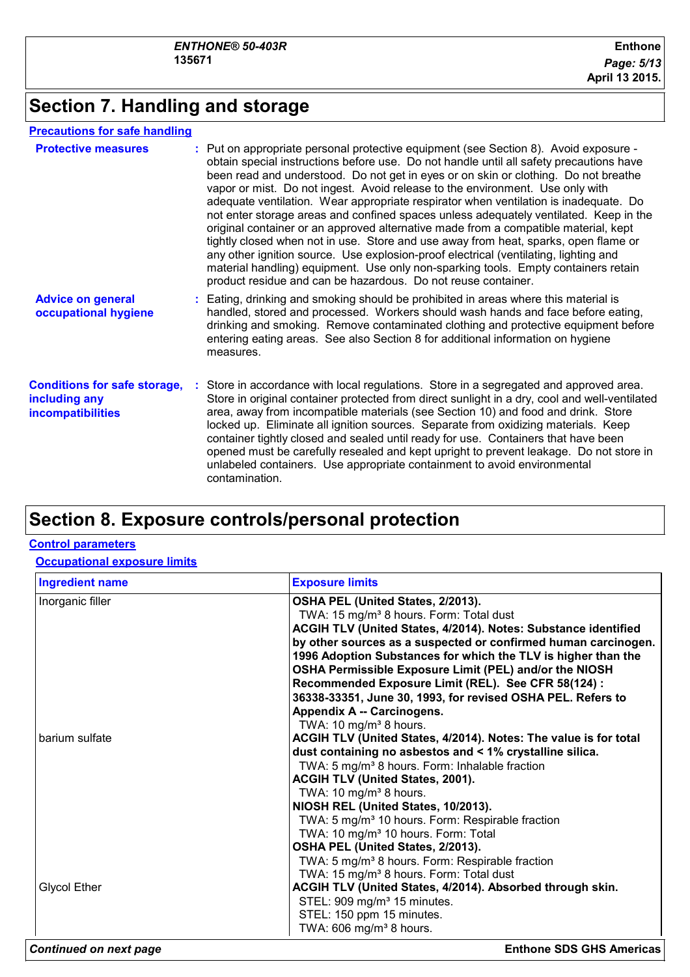### **Section 7. Handling and storage**

### **Precautions for safe handling**

| <b>Protective measures</b>                                                       | : Put on appropriate personal protective equipment (see Section 8). Avoid exposure -<br>obtain special instructions before use. Do not handle until all safety precautions have<br>been read and understood. Do not get in eyes or on skin or clothing. Do not breathe<br>vapor or mist. Do not ingest. Avoid release to the environment. Use only with<br>adequate ventilation. Wear appropriate respirator when ventilation is inadequate. Do<br>not enter storage areas and confined spaces unless adequately ventilated. Keep in the<br>original container or an approved alternative made from a compatible material, kept<br>tightly closed when not in use. Store and use away from heat, sparks, open flame or<br>any other ignition source. Use explosion-proof electrical (ventilating, lighting and<br>material handling) equipment. Use only non-sparking tools. Empty containers retain<br>product residue and can be hazardous. Do not reuse container. |
|----------------------------------------------------------------------------------|-----------------------------------------------------------------------------------------------------------------------------------------------------------------------------------------------------------------------------------------------------------------------------------------------------------------------------------------------------------------------------------------------------------------------------------------------------------------------------------------------------------------------------------------------------------------------------------------------------------------------------------------------------------------------------------------------------------------------------------------------------------------------------------------------------------------------------------------------------------------------------------------------------------------------------------------------------------------------|
| <b>Advice on general</b><br>occupational hygiene                                 | : Eating, drinking and smoking should be prohibited in areas where this material is<br>handled, stored and processed. Workers should wash hands and face before eating,<br>drinking and smoking. Remove contaminated clothing and protective equipment before<br>entering eating areas. See also Section 8 for additional information on hygiene<br>measures.                                                                                                                                                                                                                                                                                                                                                                                                                                                                                                                                                                                                         |
| <b>Conditions for safe storage,</b><br>including any<br><b>incompatibilities</b> | Store in accordance with local regulations. Store in a segregated and approved area.<br>Store in original container protected from direct sunlight in a dry, cool and well-ventilated<br>area, away from incompatible materials (see Section 10) and food and drink. Store<br>locked up. Eliminate all ignition sources. Separate from oxidizing materials. Keep<br>container tightly closed and sealed until ready for use. Containers that have been<br>opened must be carefully resealed and kept upright to prevent leakage. Do not store in<br>unlabeled containers. Use appropriate containment to avoid environmental<br>contamination.                                                                                                                                                                                                                                                                                                                        |

### **Section 8. Exposure controls/personal protection**

#### **Control parameters**

#### **Occupational exposure limits**

| <b>Ingredient name</b> | <b>Exposure limits</b>                                                                              |
|------------------------|-----------------------------------------------------------------------------------------------------|
| Inorganic filler       | OSHA PEL (United States, 2/2013).                                                                   |
|                        | TWA: 15 mg/m <sup>3</sup> 8 hours. Form: Total dust                                                 |
|                        | ACGIH TLV (United States, 4/2014). Notes: Substance identified                                      |
|                        | by other sources as a suspected or confirmed human carcinogen.                                      |
|                        | 1996 Adoption Substances for which the TLV is higher than the                                       |
|                        | OSHA Permissible Exposure Limit (PEL) and/or the NIOSH                                              |
|                        | Recommended Exposure Limit (REL). See CFR 58(124) :                                                 |
|                        | 36338-33351, June 30, 1993, for revised OSHA PEL. Refers to                                         |
|                        | Appendix A -- Carcinogens.                                                                          |
|                        | TWA: 10 mg/m <sup>3</sup> 8 hours.                                                                  |
| barium sulfate         | ACGIH TLV (United States, 4/2014). Notes: The value is for total                                    |
|                        | dust containing no asbestos and < 1% crystalline silica.                                            |
|                        | TWA: 5 mg/m <sup>3</sup> 8 hours. Form: Inhalable fraction                                          |
|                        | ACGIH TLV (United States, 2001).                                                                    |
|                        | TWA: 10 mg/m <sup>3</sup> 8 hours.                                                                  |
|                        | NIOSH REL (United States, 10/2013).<br>TWA: 5 mg/m <sup>3</sup> 10 hours. Form: Respirable fraction |
|                        | TWA: 10 mg/m <sup>3</sup> 10 hours. Form: Total                                                     |
|                        | OSHA PEL (United States, 2/2013).                                                                   |
|                        | TWA: 5 mg/m <sup>3</sup> 8 hours. Form: Respirable fraction                                         |
|                        | TWA: 15 mg/m <sup>3</sup> 8 hours. Form: Total dust                                                 |
| <b>Glycol Ether</b>    | ACGIH TLV (United States, 4/2014). Absorbed through skin.                                           |
|                        | STEL: 909 mg/m <sup>3</sup> 15 minutes.                                                             |
|                        | STEL: 150 ppm 15 minutes.                                                                           |
|                        | TWA: 606 mg/m <sup>3</sup> 8 hours.                                                                 |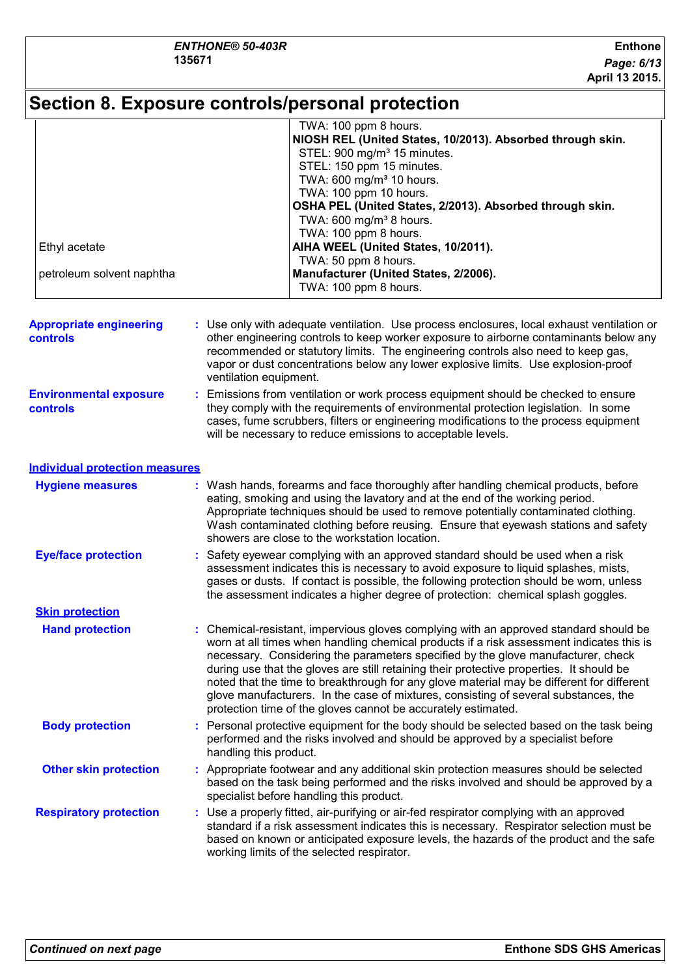## **Section 8. Exposure controls/personal protection**

|                                                   | TWA: 100 ppm 8 hours.                                                                                                                                                                                                                                                                                                                                                                                                                                                                                                                                                                                                  |  |  |
|---------------------------------------------------|------------------------------------------------------------------------------------------------------------------------------------------------------------------------------------------------------------------------------------------------------------------------------------------------------------------------------------------------------------------------------------------------------------------------------------------------------------------------------------------------------------------------------------------------------------------------------------------------------------------------|--|--|
|                                                   | NIOSH REL (United States, 10/2013). Absorbed through skin.                                                                                                                                                                                                                                                                                                                                                                                                                                                                                                                                                             |  |  |
|                                                   | STEL: 900 mg/m <sup>3</sup> 15 minutes.                                                                                                                                                                                                                                                                                                                                                                                                                                                                                                                                                                                |  |  |
|                                                   | STEL: 150 ppm 15 minutes.                                                                                                                                                                                                                                                                                                                                                                                                                                                                                                                                                                                              |  |  |
|                                                   | TWA: 600 mg/m <sup>3</sup> 10 hours.                                                                                                                                                                                                                                                                                                                                                                                                                                                                                                                                                                                   |  |  |
|                                                   | TWA: 100 ppm 10 hours.                                                                                                                                                                                                                                                                                                                                                                                                                                                                                                                                                                                                 |  |  |
|                                                   | OSHA PEL (United States, 2/2013). Absorbed through skin.                                                                                                                                                                                                                                                                                                                                                                                                                                                                                                                                                               |  |  |
|                                                   | TWA: 600 mg/m <sup>3</sup> 8 hours.                                                                                                                                                                                                                                                                                                                                                                                                                                                                                                                                                                                    |  |  |
|                                                   | TWA: 100 ppm 8 hours.                                                                                                                                                                                                                                                                                                                                                                                                                                                                                                                                                                                                  |  |  |
| Ethyl acetate                                     | AIHA WEEL (United States, 10/2011).                                                                                                                                                                                                                                                                                                                                                                                                                                                                                                                                                                                    |  |  |
|                                                   | TWA: 50 ppm 8 hours.                                                                                                                                                                                                                                                                                                                                                                                                                                                                                                                                                                                                   |  |  |
| petroleum solvent naphtha                         | Manufacturer (United States, 2/2006).                                                                                                                                                                                                                                                                                                                                                                                                                                                                                                                                                                                  |  |  |
|                                                   | TWA: 100 ppm 8 hours.                                                                                                                                                                                                                                                                                                                                                                                                                                                                                                                                                                                                  |  |  |
| <b>Appropriate engineering</b><br><b>controls</b> | : Use only with adequate ventilation. Use process enclosures, local exhaust ventilation or<br>other engineering controls to keep worker exposure to airborne contaminants below any<br>recommended or statutory limits. The engineering controls also need to keep gas,<br>vapor or dust concentrations below any lower explosive limits. Use explosion-proof<br>ventilation equipment.                                                                                                                                                                                                                                |  |  |
|                                                   |                                                                                                                                                                                                                                                                                                                                                                                                                                                                                                                                                                                                                        |  |  |
| <b>Environmental exposure</b><br><b>controls</b>  | : Emissions from ventilation or work process equipment should be checked to ensure<br>they comply with the requirements of environmental protection legislation. In some<br>cases, fume scrubbers, filters or engineering modifications to the process equipment<br>will be necessary to reduce emissions to acceptable levels.                                                                                                                                                                                                                                                                                        |  |  |
| <b>Individual protection measures</b>             |                                                                                                                                                                                                                                                                                                                                                                                                                                                                                                                                                                                                                        |  |  |
| <b>Hygiene measures</b>                           | : Wash hands, forearms and face thoroughly after handling chemical products, before<br>eating, smoking and using the lavatory and at the end of the working period.<br>Appropriate techniques should be used to remove potentially contaminated clothing.<br>Wash contaminated clothing before reusing. Ensure that eyewash stations and safety<br>showers are close to the workstation location.                                                                                                                                                                                                                      |  |  |
| <b>Eye/face protection</b>                        | : Safety eyewear complying with an approved standard should be used when a risk                                                                                                                                                                                                                                                                                                                                                                                                                                                                                                                                        |  |  |
|                                                   | assessment indicates this is necessary to avoid exposure to liquid splashes, mists,<br>gases or dusts. If contact is possible, the following protection should be worn, unless<br>the assessment indicates a higher degree of protection: chemical splash goggles.                                                                                                                                                                                                                                                                                                                                                     |  |  |
| <b>Skin protection</b>                            |                                                                                                                                                                                                                                                                                                                                                                                                                                                                                                                                                                                                                        |  |  |
| <b>Hand protection</b>                            | : Chemical-resistant, impervious gloves complying with an approved standard should be<br>worn at all times when handling chemical products if a risk assessment indicates this is<br>necessary. Considering the parameters specified by the glove manufacturer, check<br>during use that the gloves are still retaining their protective properties. It should be<br>noted that the time to breakthrough for any glove material may be different for different<br>glove manufacturers. In the case of mixtures, consisting of several substances, the<br>protection time of the gloves cannot be accurately estimated. |  |  |
| <b>Body protection</b>                            | : Personal protective equipment for the body should be selected based on the task being<br>performed and the risks involved and should be approved by a specialist before<br>handling this product.                                                                                                                                                                                                                                                                                                                                                                                                                    |  |  |
| <b>Other skin protection</b>                      | : Appropriate footwear and any additional skin protection measures should be selected<br>based on the task being performed and the risks involved and should be approved by a<br>specialist before handling this product.                                                                                                                                                                                                                                                                                                                                                                                              |  |  |
| <b>Respiratory protection</b>                     | : Use a properly fitted, air-purifying or air-fed respirator complying with an approved<br>standard if a risk assessment indicates this is necessary. Respirator selection must be<br>based on known or anticipated exposure levels, the hazards of the product and the safe<br>working limits of the selected respirator.                                                                                                                                                                                                                                                                                             |  |  |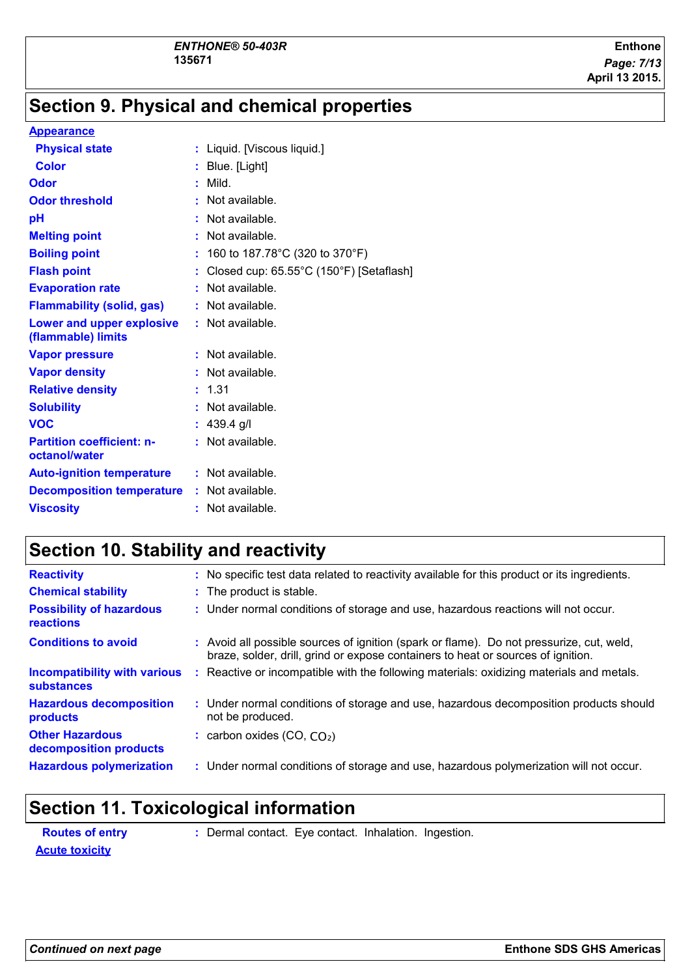### **Section 9. Physical and chemical properties**

#### **Appearance**

| <b>Physical state</b>                                  | : Liquid. [Viscous liquid.]                         |
|--------------------------------------------------------|-----------------------------------------------------|
| <b>Color</b>                                           | : Blue. [Light]                                     |
| Odor                                                   | : Mild.                                             |
| <b>Odor threshold</b>                                  | : Not available.                                    |
| рH                                                     | $:$ Not available.                                  |
| <b>Melting point</b>                                   | $:$ Not available.                                  |
| <b>Boiling point</b>                                   | : 160 to 187.78°C (320 to 370°F)                    |
| <b>Flash point</b>                                     | : Closed cup: $65.55^{\circ}$ C (150°F) [Setaflash] |
| <b>Evaporation rate</b>                                | $:$ Not available.                                  |
| <b>Flammability (solid, gas)</b>                       | $:$ Not available.                                  |
| <b>Lower and upper explosive</b><br>(flammable) limits | $:$ Not available.                                  |
| <b>Vapor pressure</b>                                  | $:$ Not available.                                  |
| <b>Vapor density</b>                                   | : Not available.                                    |
| <b>Relative density</b>                                | : 1.31                                              |
| <b>Solubility</b>                                      | $:$ Not available.                                  |
| <b>VOC</b>                                             | : $439.4$ g/l                                       |
| <b>Partition coefficient: n-</b><br>octanol/water      | : Not available.                                    |
| <b>Auto-ignition temperature</b>                       | $:$ Not available.                                  |
| <b>Decomposition temperature</b>                       | $:$ Not available.                                  |
| <b>Viscosity</b>                                       | : Not available.                                    |

### **Section 10. Stability and reactivity**

| <b>Reactivity</b>                                        |    | : No specific test data related to reactivity available for this product or its ingredients.                                                                                 |
|----------------------------------------------------------|----|------------------------------------------------------------------------------------------------------------------------------------------------------------------------------|
| <b>Chemical stability</b>                                |    | : The product is stable.                                                                                                                                                     |
| <b>Possibility of hazardous</b><br>reactions             |    | : Under normal conditions of storage and use, hazardous reactions will not occur.                                                                                            |
| <b>Conditions to avoid</b>                               |    | : Avoid all possible sources of ignition (spark or flame). Do not pressurize, cut, weld,<br>braze, solder, drill, grind or expose containers to heat or sources of ignition. |
| <b>Incompatibility with various</b><br><b>substances</b> | ÷. | Reactive or incompatible with the following materials: oxidizing materials and metals.                                                                                       |
| <b>Hazardous decomposition</b><br>products               |    | : Under normal conditions of storage and use, hazardous decomposition products should<br>not be produced.                                                                    |
| <b>Other Hazardous</b><br>decomposition products         |    | : carbon oxides $(CO, CO2)$                                                                                                                                                  |
| <b>Hazardous polymerization</b>                          |    | : Under normal conditions of storage and use, hazardous polymerization will not occur.                                                                                       |
|                                                          |    |                                                                                                                                                                              |

# **Section 11. Toxicological information**

| <b>Routes of entry</b> | : Dermal contact. Eye contact. Inhalation. Ingestion. |  |  |
|------------------------|-------------------------------------------------------|--|--|
| <b>Acute toxicity</b>  |                                                       |  |  |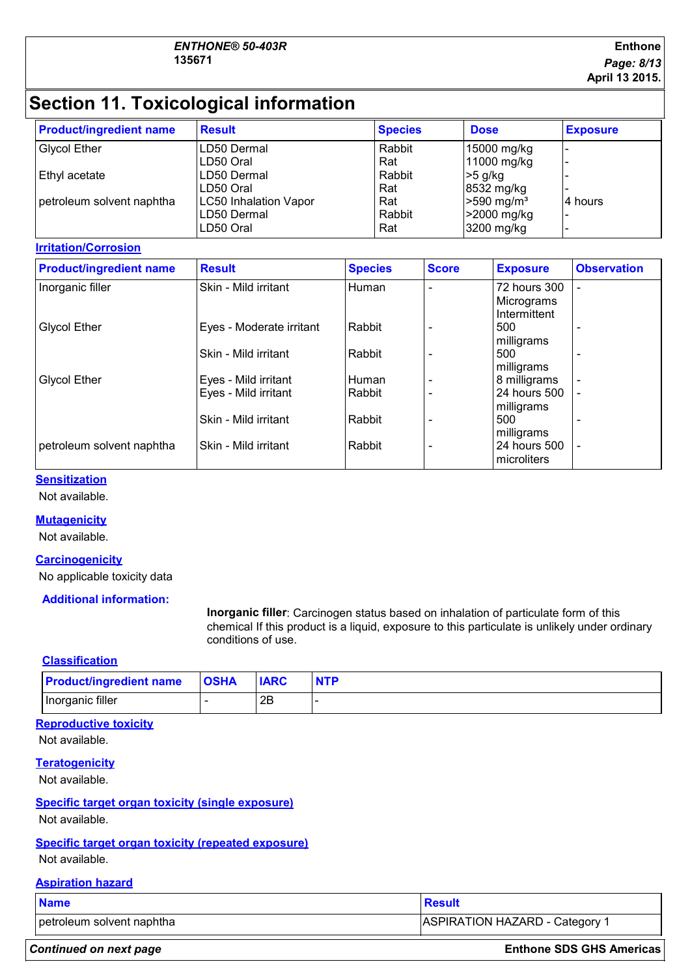#### **Enthone** *Page: 8/13* **April 13 2015.**

## **Section 11. Toxicological information**

| <b>Product/ingredient name</b> | <b>Result</b>                                            | <b>Species</b>       | <b>Dose</b>                                           | <b>Exposure</b> |
|--------------------------------|----------------------------------------------------------|----------------------|-------------------------------------------------------|-----------------|
| <b>Glycol Ether</b>            | LD50 Dermal<br>ILD50 Oral                                | Rabbit<br>Rat        | 15000 mg/kg<br>11000 mg/kg                            |                 |
| Ethyl acetate                  | ILD50 Dermal<br>ILD50 Oral                               | Rabbit<br>Rat        | $>5$ g/kg<br>8532 mg/kg                               |                 |
| petroleum solvent naphtha      | <b>LC50 Inhalation Vapor</b><br>LD50 Dermal<br>LD50 Oral | Rat<br>Rabbit<br>Rat | $>590$ mg/m <sup>3</sup><br>>2000 mg/kg<br>3200 mg/kg | l4 hours        |

#### **Irritation/Corrosion**

| <b>Product/ingredient name</b> | <b>Result</b>            | <b>Species</b> | <b>Score</b> | <b>Exposure</b>                   | <b>Observation</b>       |
|--------------------------------|--------------------------|----------------|--------------|-----------------------------------|--------------------------|
| Inorganic filler               | Skin - Mild irritant     | Human          | ۰            | 72 hours 300<br>Micrograms        | ۰                        |
| <b>Glycol Ether</b>            | Eyes - Moderate irritant | Rabbit         |              | Intermittent<br>500<br>milligrams | ۰                        |
|                                | Skin - Mild irritant     | Rabbit         |              | 500<br>milligrams                 | $\overline{\phantom{0}}$ |
| <b>Glycol Ether</b>            | Eyes - Mild irritant     | Human          |              | 8 milligrams                      | $\overline{\phantom{0}}$ |
|                                | Eyes - Mild irritant     | Rabbit         |              | 24 hours 500<br>milligrams        | $\overline{\phantom{0}}$ |
|                                | Skin - Mild irritant     | Rabbit         |              | 500<br>milligrams                 | ۰                        |
| petroleum solvent naphtha      | Skin - Mild irritant     | Rabbit         |              | 24 hours 500<br>microliters       |                          |

#### **Sensitization**

Not available.

#### **Mutagenicity**

Not available.

### **Carcinogenicity**

No applicable toxicity data

#### **Additional information:**

**Inorganic filler**: Carcinogen status based on inhalation of particulate form of this chemical If this product is a liquid, exposure to this particulate is unlikely under ordinary conditions of use.

#### **Classification**

| <b>Product/ingredient name</b> | <b>OSHA</b> | <b>IARC</b> | <b>NTP</b> |
|--------------------------------|-------------|-------------|------------|
| Inorganic filler               |             | 2B          |            |

#### **Reproductive toxicity**

Not available.

#### **Teratogenicity**

Not available.

### **Specific target organ toxicity (single exposure)**

Not available.

#### **Specific target organ toxicity (repeated exposure)**

Not available.

#### **Aspiration hazard**

| <b>Name</b>               | Result                         |  |
|---------------------------|--------------------------------|--|
| petroleum solvent naphtha | ASPIRATION HAZARD - Category 1 |  |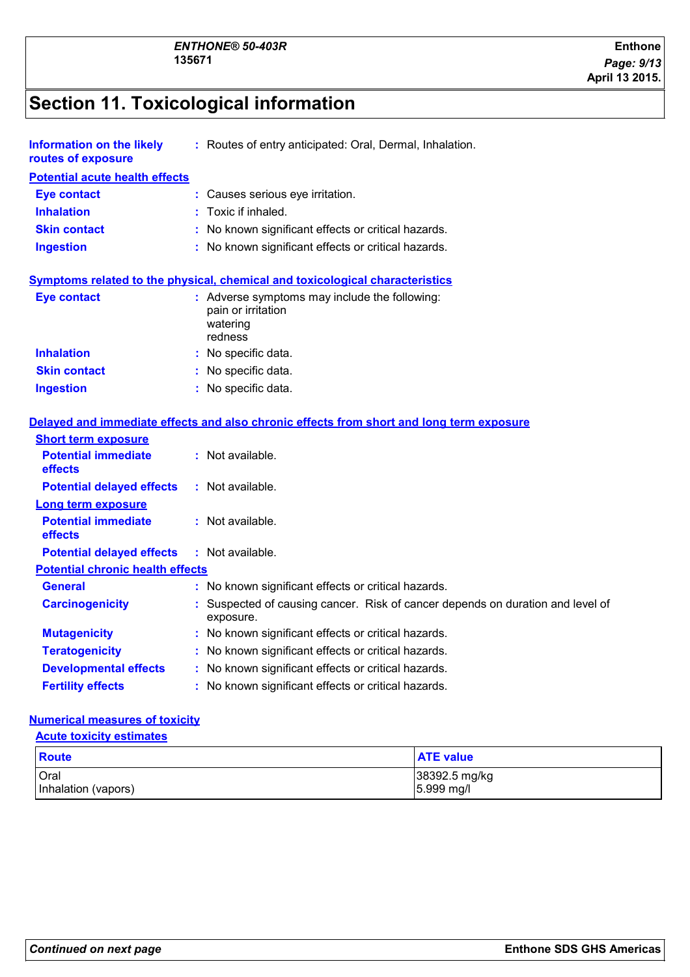# **Section 11. Toxicological information**

| <b>Information on the likely</b><br>routes of exposure | : Routes of entry anticipated: Oral, Dermal, Inhalation.                                   |  |  |  |  |
|--------------------------------------------------------|--------------------------------------------------------------------------------------------|--|--|--|--|
| <b>Potential acute health effects</b>                  |                                                                                            |  |  |  |  |
| <b>Eye contact</b>                                     | : Causes serious eye irritation.                                                           |  |  |  |  |
| <b>Inhalation</b>                                      | Toxic if inhaled.                                                                          |  |  |  |  |
| <b>Skin contact</b>                                    | : No known significant effects or critical hazards.                                        |  |  |  |  |
| <b>Ingestion</b>                                       | : No known significant effects or critical hazards.                                        |  |  |  |  |
|                                                        | Symptoms related to the physical, chemical and toxicological characteristics               |  |  |  |  |
| <b>Eye contact</b>                                     | : Adverse symptoms may include the following:<br>pain or irritation<br>watering<br>redness |  |  |  |  |
| <b>Inhalation</b>                                      | : No specific data.                                                                        |  |  |  |  |
| <b>Skin contact</b>                                    | : No specific data.                                                                        |  |  |  |  |
| <b>Ingestion</b>                                       | : No specific data.                                                                        |  |  |  |  |
| <b>Short term exposure</b>                             | Delayed and immediate effects and also chronic effects from short and long term exposure   |  |  |  |  |
| <b>Potential immediate</b><br>effects                  | : Not available.                                                                           |  |  |  |  |
| <b>Potential delayed effects</b>                       | : Not available.                                                                           |  |  |  |  |
| <b>Long term exposure</b>                              |                                                                                            |  |  |  |  |
| <b>Potential immediate</b><br>effects                  | : Not available.                                                                           |  |  |  |  |
| <b>Potential delayed effects</b>                       | : Not available.                                                                           |  |  |  |  |
| <b>Potential chronic health effects</b>                |                                                                                            |  |  |  |  |
| <b>General</b>                                         | : No known significant effects or critical hazards.                                        |  |  |  |  |
| <b>Carcinogenicity</b>                                 | Suspected of causing cancer. Risk of cancer depends on duration and level of<br>exposure.  |  |  |  |  |
| <b>Mutagenicity</b>                                    | : No known significant effects or critical hazards.                                        |  |  |  |  |
| <b>Teratogenicity</b>                                  | : No known significant effects or critical hazards.                                        |  |  |  |  |
| <b>Developmental effects</b>                           | : No known significant effects or critical hazards.                                        |  |  |  |  |
| <b>Fertility effects</b>                               | No known significant effects or critical hazards.                                          |  |  |  |  |

#### **Numerical measures of toxicity**

#### **Acute toxicity estimates**

| Route               | <b>ATE value</b> |
|---------------------|------------------|
| Oral                | 38392.5 mg/kg    |
| Inhalation (vapors) | 5.999 mg/l       |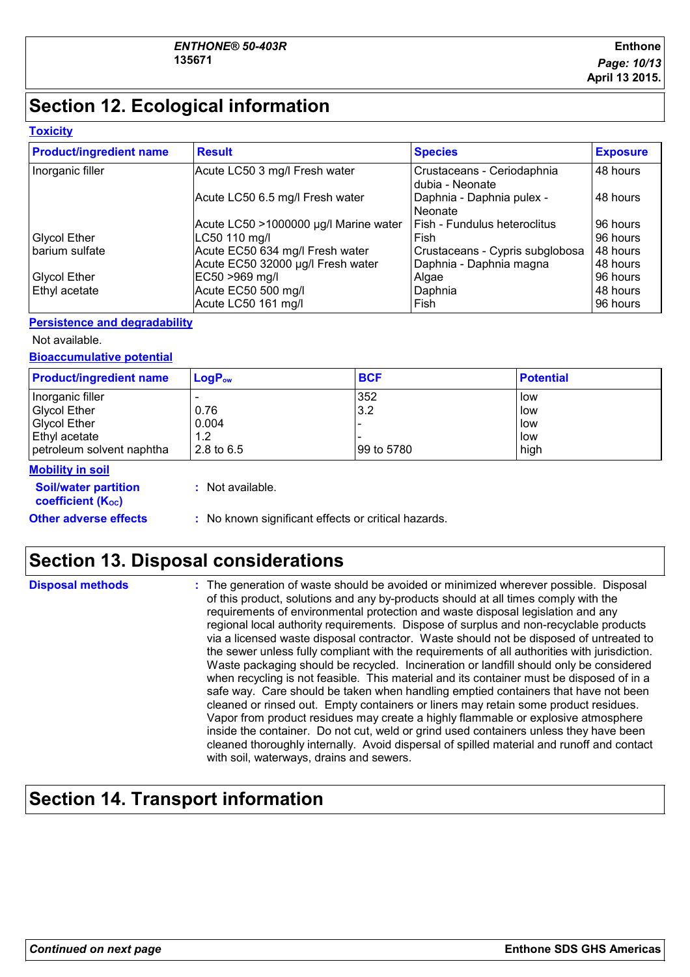# **Section 12. Ecological information**

#### **Toxicity**

| <b>Product/ingredient name</b> | <b>Result</b>                         | <b>Species</b>                                | <b>Exposure</b> |
|--------------------------------|---------------------------------------|-----------------------------------------------|-----------------|
| Inorganic filler               | Acute LC50 3 mg/l Fresh water         | Crustaceans - Ceriodaphnia<br>dubia - Neonate | 48 hours        |
|                                | Acute LC50 6.5 mg/l Fresh water       | Daphnia - Daphnia pulex -<br>Neonate          | 48 hours        |
|                                | Acute LC50 >1000000 µg/l Marine water | Fish - Fundulus heteroclitus                  | 96 hours        |
| <b>Glycol Ether</b>            | LC50 110 mg/l                         | Fish                                          | 96 hours        |
| barium sulfate                 | Acute EC50 634 mg/l Fresh water       | Crustaceans - Cypris subglobosa               | 48 hours        |
|                                | Acute EC50 32000 µg/l Fresh water     | Daphnia - Daphnia magna                       | 48 hours        |
| <b>Glycol Ether</b>            | EC50 >969 mg/l                        | Algae                                         | 96 hours        |
| Ethyl acetate                  | Acute EC50 500 mg/l                   | Daphnia                                       | 48 hours        |
|                                | Acute LC50 161 mg/l                   | Fish                                          | 96 hours        |

#### **Persistence and degradability**

Not available.

**Bioaccumulative potential**

| <b>Product/ingredient name</b> | $LogP_{ow}$  | <b>BCF</b>  | <b>Potential</b> |
|--------------------------------|--------------|-------------|------------------|
| Inorganic filler               |              | 352         | l low            |
| <b>Glycol Ether</b>            | 0.76         | 3.2         | low              |
| <b>Glycol Ether</b>            | 0.004        |             | low              |
| <b>Ethyl acetate</b>           | 1.2          |             | low              |
| petroleum solvent naphtha      | 2.8 to $6.5$ | 199 to 5780 | high             |

#### **Mobility in soil**

**:** Not available.

**Soil/water partition coefficient (KOC)**

**Other adverse effects** : No known significant effects or critical hazards.

### **Section 13. Disposal considerations**

| <b>Disposal methods</b> | : The generation of waste should be avoided or minimized wherever possible. Disposal<br>of this product, solutions and any by-products should at all times comply with the<br>requirements of environmental protection and waste disposal legislation and any<br>regional local authority requirements. Dispose of surplus and non-recyclable products<br>via a licensed waste disposal contractor. Waste should not be disposed of untreated to<br>the sewer unless fully compliant with the requirements of all authorities with jurisdiction.<br>Waste packaging should be recycled. Incineration or landfill should only be considered<br>when recycling is not feasible. This material and its container must be disposed of in a<br>safe way. Care should be taken when handling emptied containers that have not been<br>cleaned or rinsed out. Empty containers or liners may retain some product residues.<br>Vapor from product residues may create a highly flammable or explosive atmosphere<br>inside the container. Do not cut, weld or grind used containers unless they have been<br>cleaned thoroughly internally. Avoid dispersal of spilled material and runoff and contact |
|-------------------------|------------------------------------------------------------------------------------------------------------------------------------------------------------------------------------------------------------------------------------------------------------------------------------------------------------------------------------------------------------------------------------------------------------------------------------------------------------------------------------------------------------------------------------------------------------------------------------------------------------------------------------------------------------------------------------------------------------------------------------------------------------------------------------------------------------------------------------------------------------------------------------------------------------------------------------------------------------------------------------------------------------------------------------------------------------------------------------------------------------------------------------------------------------------------------------------------|
|                         | with soil, waterways, drains and sewers.                                                                                                                                                                                                                                                                                                                                                                                                                                                                                                                                                                                                                                                                                                                                                                                                                                                                                                                                                                                                                                                                                                                                                       |

### **Section 14. Transport information**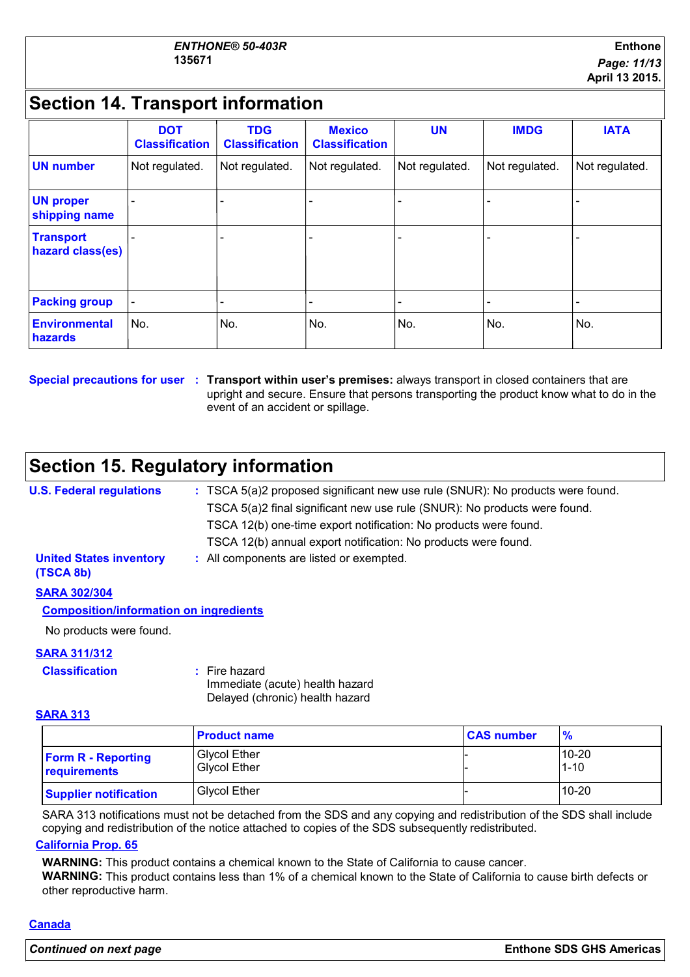### **Section 14. Transport information**

|                                      | <b>DOT</b><br><b>Classification</b> | <b>TDG</b><br><b>Classification</b> | <b>Mexico</b><br><b>Classification</b> | <b>UN</b>      | <b>IMDG</b>    | <b>IATA</b>    |
|--------------------------------------|-------------------------------------|-------------------------------------|----------------------------------------|----------------|----------------|----------------|
| <b>UN number</b>                     | Not regulated.                      | Not regulated.                      | Not regulated.                         | Not regulated. | Not regulated. | Not regulated. |
| <b>UN proper</b><br>shipping name    |                                     |                                     |                                        |                |                |                |
| <b>Transport</b><br>hazard class(es) |                                     |                                     |                                        |                |                |                |
| <b>Packing group</b>                 | $\overline{\phantom{a}}$            |                                     |                                        |                |                |                |
| <b>Environmental</b><br>hazards      | No.                                 | No.                                 | No.                                    | No.            | No.            | No.            |

#### **Special precautions for user Transport within user's premises:** always transport in closed containers that are **:** upright and secure. Ensure that persons transporting the product know what to do in the event of an accident or spillage.

### **Section 15. Regulatory information**

| <b>U.S. Federal regulations</b>             | : TSCA 5(a)2 proposed significant new use rule (SNUR): No products were found. |
|---------------------------------------------|--------------------------------------------------------------------------------|
|                                             | TSCA 5(a)2 final significant new use rule (SNUR): No products were found.      |
|                                             | TSCA 12(b) one-time export notification: No products were found.               |
|                                             | TSCA 12(b) annual export notification: No products were found.                 |
| <b>United States inventory</b><br>(TSCA 8b) | : All components are listed or exempted.                                       |
| <b>SARA 302/304</b>                         |                                                                                |

#### **Composition/information on ingredients**

No products were found.

#### **SARA 311/312**

#### **Classification :** Fire hazard

Immediate (acute) health hazard Delayed (chronic) health hazard

#### **SARA 313**

|                                           | <b>Product name</b>                 | <b>CAS number</b> | $\frac{9}{6}$         |
|-------------------------------------------|-------------------------------------|-------------------|-----------------------|
| <b>Form R - Reporting</b><br>requirements | Glycol Ether<br><b>Givcol Ether</b> |                   | $10 - 20$<br>$1 - 10$ |
| <b>Supplier notification</b>              | <b>Glycol Ether</b>                 |                   | $10 - 20$             |

SARA 313 notifications must not be detached from the SDS and any copying and redistribution of the SDS shall include copying and redistribution of the notice attached to copies of the SDS subsequently redistributed.

#### **California Prop. 65**

**WARNING:** This product contains a chemical known to the State of California to cause cancer.

**WARNING:** This product contains less than 1% of a chemical known to the State of California to cause birth defects or other reproductive harm.

#### **Canada**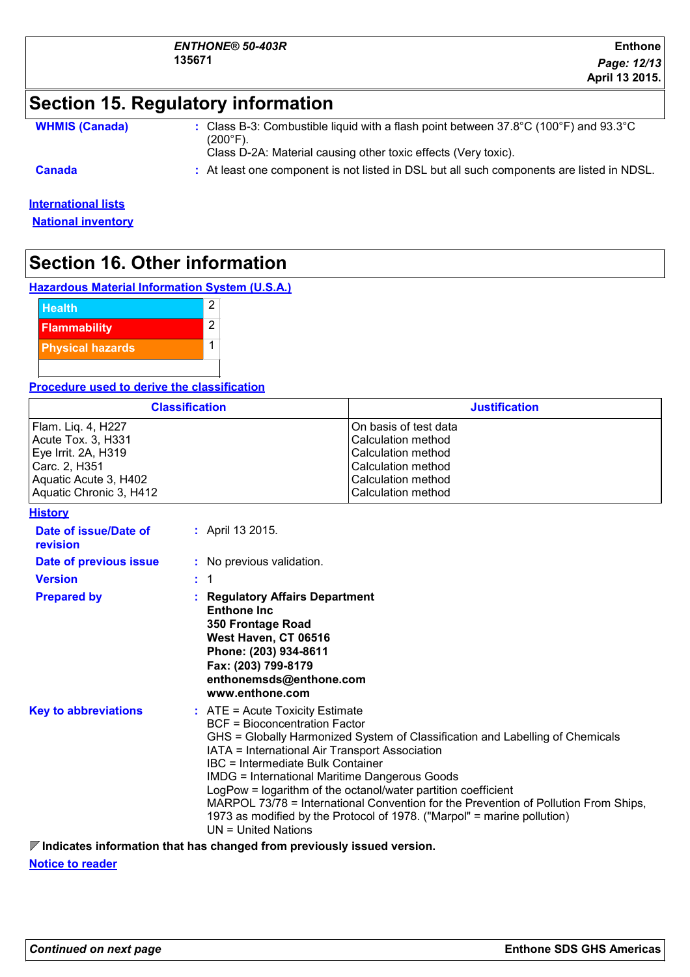| ENTHONE® 50-403R |  |
|------------------|--|
| 135671           |  |

### **Section 15. Regulatory information**

**WHMIS (Canada)** : Class B-3: Combustible liquid with a flash point between 37.8°C (100°F) and 93.3°C (200°F).

Class D-2A: Material causing other toxic effects (Very toxic).

- 
- **Canada :** At least one component is not listed in DSL but all such components are listed in NDSL.

### **International lists**

**National inventory**

### **Section 16. Other information**

**Hazardous Material Information System (U.S.A.)**



#### **Procedure used to derive the classification**

| <b>Classification</b>   | <b>Justification</b>   |
|-------------------------|------------------------|
| Flam. Liq. 4, H227      | IOn basis of test data |
| Acute Tox. 3, H331      | Calculation method     |
| Eye Irrit. 2A, H319     | Calculation method     |
| Carc. 2, H351           | l Calculation method   |
| Aquatic Acute 3, H402   | Calculation method     |
| Aquatic Chronic 3, H412 | Calculation method     |

#### **History**

| Date of issue/Date of<br>revision | : April 13 2015.                                                                                                                                                                                                                                                                                                                                                                                                                                                                                                                                                               |
|-----------------------------------|--------------------------------------------------------------------------------------------------------------------------------------------------------------------------------------------------------------------------------------------------------------------------------------------------------------------------------------------------------------------------------------------------------------------------------------------------------------------------------------------------------------------------------------------------------------------------------|
| Date of previous issue            | : No previous validation.                                                                                                                                                                                                                                                                                                                                                                                                                                                                                                                                                      |
| <b>Version</b>                    | $\therefore$ 1                                                                                                                                                                                                                                                                                                                                                                                                                                                                                                                                                                 |
| <b>Prepared by</b>                | : Regulatory Affairs Department<br><b>Enthone Inc.</b><br>350 Frontage Road<br>West Haven, CT 06516<br>Phone: (203) 934-8611<br>Fax: (203) 799-8179<br>enthonemsds@enthone.com<br>www.enthone.com                                                                                                                                                                                                                                                                                                                                                                              |
| <b>Key to abbreviations</b>       | $\therefore$ ATE = Acute Toxicity Estimate<br><b>BCF</b> = Bioconcentration Factor<br>GHS = Globally Harmonized System of Classification and Labelling of Chemicals<br>IATA = International Air Transport Association<br><b>IBC</b> = Intermediate Bulk Container<br>IMDG = International Maritime Dangerous Goods<br>LogPow = logarithm of the octanol/water partition coefficient<br>MARPOL 73/78 = International Convention for the Prevention of Pollution From Ships,<br>1973 as modified by the Protocol of 1978. ("Marpol" = marine pollution)<br>$UN = United Nations$ |
|                                   | $\blacksquare$ to discuss the connection of the first state of the connection of the control of the connection of the constant                                                                                                                                                                                                                                                                                                                                                                                                                                                 |

**Indicates information that has changed from previously issued version.**

**Notice to reader**